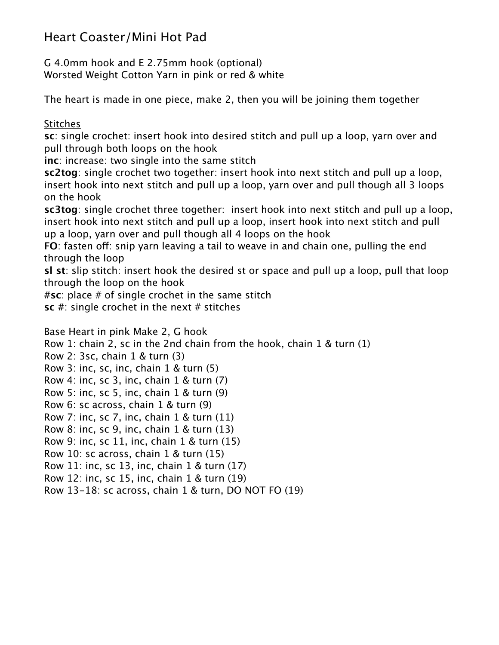## Heart Coaster/Mini Hot Pad

G 4.0mm hook and E 2.75mm hook (optional) Worsted Weight Cotton Yarn in pink or red & white

The heart is made in one piece, make 2, then you will be joining them together

## **Stitches**

**sc**: single crochet: insert hook into desired stitch and pull up a loop, yarn over and pull through both loops on the hook

**inc**: increase: two single into the same stitch

**sc2tog**: single crochet two together: insert hook into next stitch and pull up a loop, insert hook into next stitch and pull up a loop, yarn over and pull though all 3 loops on the hook

**sc3tog**: single crochet three together: insert hook into next stitch and pull up a loop, insert hook into next stitch and pull up a loop, insert hook into next stitch and pull up a loop, yarn over and pull though all 4 loops on the hook

**FO**: fasten off: snip yarn leaving a tail to weave in and chain one, pulling the end through the loop

**sl st**: slip stitch: insert hook the desired st or space and pull up a loop, pull that loop through the loop on the hook

**#sc**: place # of single crochet in the same stitch

**sc #**: single crochet in the next # stitches

Base Heart in pink Make 2, G hook

Row 1: chain 2, sc in the 2nd chain from the hook, chain 1 & turn (1)

Row 2: 3sc, chain 1 & turn (3)

Row 3: inc, sc, inc, chain  $1 \&$  turn  $(5)$ 

Row 4: inc, sc 3, inc, chain 1 & turn (7)

Row 5: inc, sc 5, inc, chain 1 & turn (9)

Row 6: sc across, chain 1 & turn (9)

Row 7: inc, sc 7, inc, chain 1 & turn (11)

Row 8: inc, sc 9, inc, chain 1 & turn (13)

Row 9: inc, sc 11, inc, chain 1 & turn (15)

Row 10: sc across, chain  $1 \&$  turn  $(15)$ 

Row 11: inc, sc 13, inc, chain 1 & turn (17)

Row 12: inc, sc 15, inc, chain 1 & turn (19)

Row 13-18: sc across, chain 1 & turn, DO NOT FO (19)